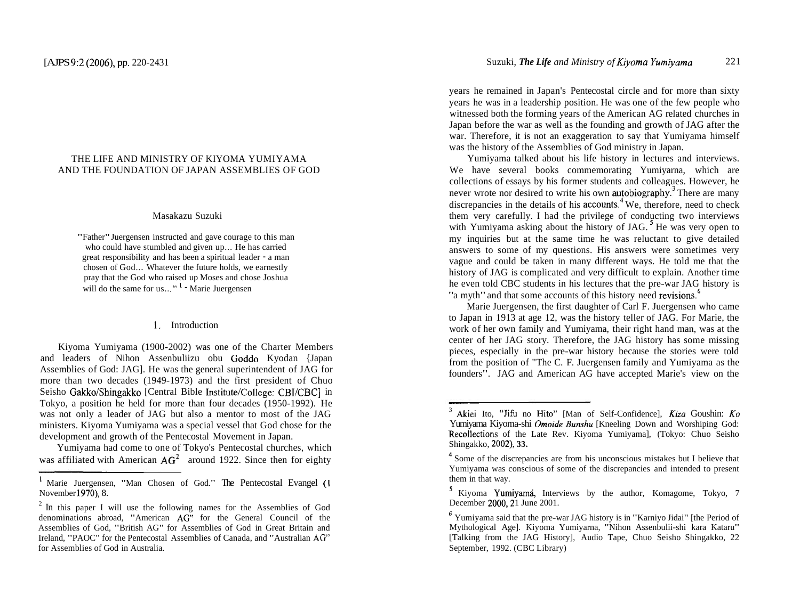# THE LIFE AND MINISTRY OF KIYOMA YUMIYAMA AND THE FOUNDATION OF JAPAN ASSEMBLIES OF GOD

#### Masakazu Suzuki

"Father" Juergensen instructed and gave courage to this man who could have stumbled and given up.. . He has carried great responsibility and has been a spiritual leader - a man chosen of God... Whatever the future holds, we earnestly pray that the God who raised up Moses and chose Joshua will do the same for us..."  $\frac{1}{1}$  Marie Juergensen

#### 1. Introduction

Kiyoma Yumiyama (1900-2002) was one of the Charter Members and leaders of Nihon Assenbuliizu obu Goddo Kyodan {Japan Assemblies of God: JAG]. He was the general superintendent of JAG for more than two decades (1949-1973) and the first president of Chuo Seisho Gakko/Shingakko [Central Bible Institute/College: CBI/CBC] in Tokyo, a position he held for more than four decades (1950-1992). He was not only a leader of JAG but also a mentor to most of the JAG ministers. Kiyoma Yumiyama was a special vessel that God chose for the development and growth of the Pentecostal Movement in Japan.

Yumiyama had come to one of Tokyo's Pentecostal churches, which was affiliated with American  $AG<sup>2</sup>$  around 1922. Since then for eighty years he remained in Japan's Pentecostal circle and for more than sixty years he was in a leadership position. He was one of the few people who witnessed both the forming years of the American AG related churches in Japan before the war as well as the founding and growth of JAG after the war. Therefore, it is not an exaggeration to say that Yumiyama himself was the history of the Assemblies of God ministry in Japan.

Yumiyama talked about his life history in lectures and interviews. We have several books commemorating Yumiyarna, which are collections of essays by his former students and colleagues. However, he never wrote nor desired to write his own **autobiography**.<sup>3</sup> There are many discrepancies in the details of his  $\alpha$  accounts.<sup>4</sup> We, therefore, need to check them very carefully. I had the privilege of conducting two interviews with Yumiyama asking about the history of JAG.<sup>5</sup> He was very open to my inquiries but at the same time he was reluctant to give detailed answers to some of my questions. His answers were sometimes very vague and could be taken in many different ways. He told me that the history of JAG is complicated and very difficult to explain. Another time he even told CBC students in his lectures that the pre-war JAG history is "a myth" and that some accounts of this history need revisions.<sup>6</sup>

Marie Juergensen, the first daughter of Carl F. Juergensen who came to Japan in 1913 at age 12, was the history teller of JAG. For Marie, the work of her own family and Yumiyama, their right hand man, was at the center of her JAG story. Therefore, the JAG history has some missing pieces, especially in the pre-war history because the stories were told from the position of "The C. F. Juergensen family and Yumiyama as the founders". JAG and American AG have accepted Marie's view on the

**<sup>1</sup>**Marie Juergensen, "Man Chosen of God." The Pentecostal Evangel (1 November l970), 8.

<sup>&</sup>lt;sup>2</sup> In this paper I will use the following names for the Assemblies of God denominations abroad, "American AG" for the General Council of the Assemblies of God, "British AG" for Assemblies of God in Great Britain and Ireland, "PAOC" for the Pentecostal Assemblies of Canada, and "Australian **AG"**  for Assemblies of God in Australia.

Akiei Ito, "Jifu no Hito" [Man of Self-Confidence], Kiza Goushin: Ko Yumiyama Kiyoma-shi *Omoide Bunshu* [Kneeling Down and Worshiping God: RecoIlections of the Late Rev. Kiyoma Yumiyama], (Tokyo: Chuo Seisho Shingakko, 2002), **33.** 

**<sup>4</sup>**Some of the discrepancies are from his unconscious mistakes but I believe that Yumiyama was conscious of some of the discrepancies and intended to present them in that way.

**<sup>5</sup>**Kiyoma Yumiyami, Interviews by the author, Komagome, Tokyo, 7 December 2000, 21 June 2001.

<sup>&</sup>lt;sup>6</sup> Yumiyama said that the pre-war JAG history is in "Karniyo Jidai" [the Period of Mythological Age]. Kiyoma Yumiyarna, "Nihon Assenbulii-shi kara Kataru" [Talking from the JAG History], Audio Tape, Chuo Seisho Shingakko, 22 September, 1992. (CBC Library)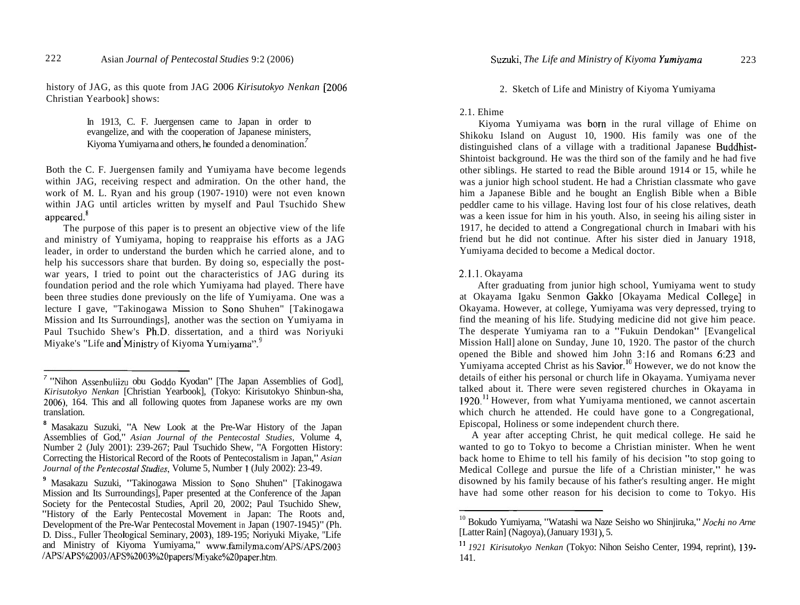history of JAG, as this quote from JAG 2006 *Kirisutokyo Nenkan* [2006 Christian Yearbook] shows:

> In 1913, C. F. Juergensen came to Japan in order to evangelize, and with the cooperation of Japanese ministers, Kiyoma Yumiyarna and others, he founded a denomination.<sup>7</sup>

Both the C. F. Juergensen family and Yumiyama have become legends within JAG, receiving respect and admiration. On the other hand, the work of M. L. Ryan and his group (1907- 1910) were not even known within JAG until articles written by myself and Paul Tsuchido Shew appeared.<sup>8</sup>

The purpose of this paper is to present an objective view of the life and ministry of Yumiyama, hoping to reappraise his efforts as a JAG leader, in order to understand the burden which he carried alone, and to help his successors share that burden. By doing so, especially the postwar years, I tried to point out the characteristics of JAG during its foundation period and the role which Yumiyama had played. There have been three studies done previously on the life of Yumiyama. One was a lecture I gave, "Takinogawa Mission to Sono Shuhen" [Takinogawa Mission and Its Surroundings], another was the section on Yumiyama in Paul Tsuchido Shew's Ph.D. dissertation, and a third was Noriyuki Miyake's "Life and Ministry of Kiyoma Yumiyama". $\degree$ 

2. Sketch of Life and Ministry of Kiyoma Yumiyama

### 2.1. Ehime

Kiyoma Yumiyama was born in the rural village of Ehime on Shikoku Island on August 10, 1900. His family was one of the distinguished clans of a village with a traditional Japanese Buddhist-Shintoist background. He was the third son of the family and he had five other siblings. He started to read the Bible around 1914 or 15, while he was a junior high school student. He had a Christian classmate who gave him a Japanese Bible and he bought an English Bible when a Bible peddler came to his village. Having lost four of his close relatives, death was a keen issue for him in his youth. Also, in seeing his ailing sister in 1917, he decided to attend a Congregational church in Imabari with his friend but he did not continue. After his sister died in January 1918, Yumiyama decided to become a Medical doctor.

#### 2.1.1. Okayama

After graduating from junior high school, Yumiyama went to study at Okayama Igaku Senmon Gakko [Okayama Medical College] in Okayama. However, at college, Yumiyama was very depressed, trying to find the meaning of his life. Studying medicine did not give him peace. The desperate Yumiyama ran to a "Fukuin Dendokan" [Evangelical Mission Hall] alone on Sunday, June 10, 1920. The pastor of the church opened the Bible and showed him John 3:16 and Romans 6:23 and  $\overline{Y}$ umiyama accepted Christ as his Savior.<sup>10</sup> However, we do not know the details of either his personal or church life in Okayama. Yumiyama never talked about it. There were seven registered churches in Okayama in 1920.<sup>11</sup> However, from what Yumiyama mentioned, we cannot ascertain which church he attended. He could have gone to a Congregational, Episcopal, Holiness or some independent church there.

A year after accepting Christ, he quit medical college. He said he wanted to go to Tokyo to become a Christian minister. When he went back home to Ehime to tell his family of his decision "to stop going to Medical College and pursue the life of a Christian minister," he was disowned by his family because of his father's resulting anger. He might have had some other reason for his decision to come to Tokyo. His

<sup>7</sup>"Nihon Assenbuliizu obu Goddo Kyodan" [The Japan Assemblies of God], *Kirisutokyo Nenkan* [Christian Yearbook], (Tokyo: Kirisutokyo Shinbun-sha, 2006), 164. This and all following quotes from Japanese works are my own translation.

**<sup>8</sup>**Masakazu Suzuki, "A New Look at the Pre-War History of the Japan Assemblies of God," *Asian Journal of the Pentecostal Studies,* Volume 4, Number 2 (July 2001): 239-267; Paul Tsuchido Shew, "A Forgotten History: Correcting the Historical Record of the Roots of Pentecostalism in Japan," *Asian Journal of the Pentecostal Studies, Volume 5, Number 1 (July 2002): 23-49.* 

**<sup>9</sup>**Masakazu Suzuki, "Takinogawa Mission to Sono Shuhen" [Takinogawa Mission and Its Surroundings], Paper presented at the Conference of the Japan Society for the Pentecostal Studies, April 20, 2002; Paul Tsuchido Shew, "History of the Early Pentecostal Movement in Japan: The Roots and, Development of the Pre-War Pentecostal Movement in Japan (1907-1945)" (Ph. D. Diss., Fuller Theological Seminary, 2003), 189-195; Noriyuki Miyake, "Life and Ministry of Kiyoma Yumiyama," **www.familyma.com/APS/APS/2003 /APS/APS%2003/APS%2003%2Opapers/Miyake%2Opaper.htm.** 

<sup>&</sup>lt;sup>10</sup> Bokudo Yumiyarna, "Watashi wa Naze Seisho wo Shinjiruka," *Nochi no Arne* [Latter Rain] (Nagoya), (January 1931), 5.

<sup>&</sup>lt;sup>11</sup> 1921 Kirisutokyo Nenkan (Tokyo: Nihon Seisho Center, 1994, reprint), 139-141.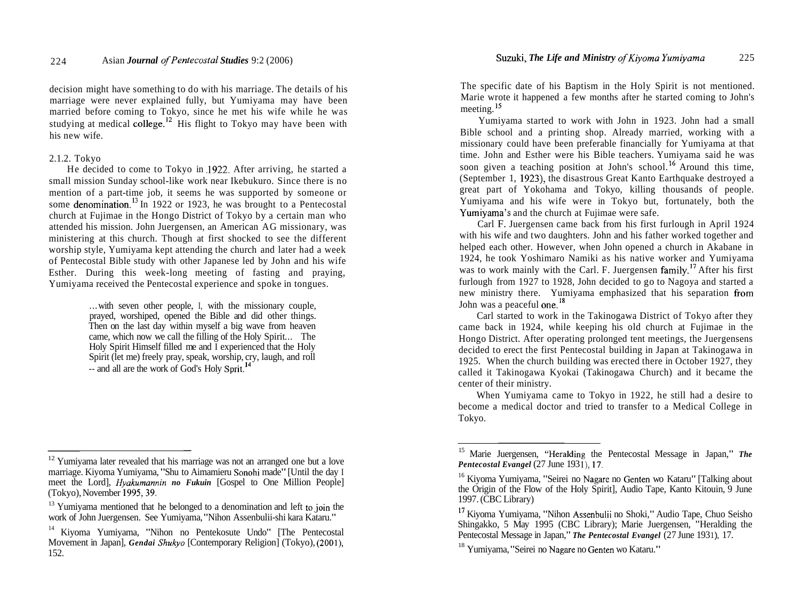decision might have something to do with his marriage. The details of his marriage were never explained fully, but Yumiyama may have been married before coming to Tokyo, since he met his wife while he was studying at medical college.<sup>12</sup> His flight to Tokyo may have been with his new wife.

### 2.1.2. Tokyo

He decided to come to Tokyo in ,1922. After arriving, he started a small mission Sunday school-like work near Ikebukuro. Since there is no mention of a part-time job, it seems he was supported by someone or some denomination.<sup>13</sup> In 1922 or 1923, he was brought to a Pentecostal church at Fujimae in the Hongo District of Tokyo by a certain man who attended his mission. John Juergensen, an American AG missionary, was ministering at this church. Though at first shocked to see the different worship style, Yumiyama kept attending the church and later had a week of Pentecostal Bible study with other Japanese led by John and his wife Esther. During this week-long meeting of fasting and praying, Yumiyama received the Pentecostal experience and spoke in tongues.

> ... with seven other people, I, with the missionary couple, prayed, worshiped, opened the Bible and did other things. Then on the last day within myself a big wave from heaven came, which now we call the filling of the Holy Spirit... The Holy Spirit Himself filled me and I experienced that the Holy Spirit (let me) freely pray, speak, worship, cry, laugh, and roll -- and all are the work of God's Holy Sprit.<sup>14</sup>

The specific date of his Baptism in the Holy Spirit is not mentioned. Marie wrote it happened a few months after he started coming to John's meeting.<sup>15</sup>

Yumiyama started to work with John in 1923. John had a small Bible school and a printing shop. Already married, working with a missionary could have been preferable financially for Yumiyama at that time. John and Esther were his Bible teachers. Yumiyama said he was soon given a teaching position at John's school.<sup>16</sup> Around this time, (September 1, 1923), the disastrous Great Kanto Earthquake destroyed a great part of Yokohama and Tokyo, killing thousands of people. Yumiyama and his wife were in Tokyo but, fortunately, both the Yurniyama's and the church at Fujimae were safe.

Carl F. Juergensen came back from his first furlough in April 1924 with his wife and two daughters. John and his father worked together and helped each other. However, when John opened a church in Akabane in 1924, he took Yoshimaro Namiki as his native worker and Yumiyama was to work mainly with the Carl. F. Juergensen family.<sup>17</sup> After his first furlough from 1927 to 1928, John decided to go to Nagoya and started a new ministry there. Yumiyama emphasized that his separation from John was a peaceful one.<sup>18</sup>

Carl started to work in the Takinogawa District of Tokyo after they came back in 1924, while keeping his old church at Fujimae in the Hongo District. After operating prolonged tent meetings, the Juergensens decided to erect the first Pentecostal building in Japan at Takinogawa in 1925. When the church building was erected there in October 1927, they called it Takinogawa Kyokai (Takinogawa Church) and it became the center of their ministry.

When Yumiyama came to Tokyo in 1922, he still had a desire to become a medical doctor and tried to transfer to a Medical College in Tokyo.

<sup>&</sup>lt;sup>12</sup> Yumiyama later revealed that his marriage was not an arranged one but a love marriage. Kiyoma Yumiyama, "Shu to Aimamieru Sonohi made" [Until the day I meet the Lord], *Hyakumannin no Fukuin* [Gospel to One Million People]

 $<sup>13</sup>$  Yumiyama mentioned that he belonged to a denomination and left to join the</sup> work of John Juergensen. See Yumiyama, "Nihon Assenbulii-shi kara Kataru." 14 Kiyoma Yumiyama, "Nihon no Pentekosute Undo" [The Pentecostal

Movement in Japan], *Gendai Shukyo* [Contemporary Religion] (Tokyo), (2001), 152.

<sup>15</sup> Marie Juergensen, "Heralding the Pentecostal Message in Japan," *The Pentecostal Evangel* (27 June 193 I), 17.

<sup>&</sup>lt;sup>16</sup> Kiyoma Yumiyama, "Seirei no Nagare no Genten wo Kataru" [Talking about the Origin of the Flow of the Holy Spirit], Audio Tape, Kanto Kitouin, 9 June 1997. (CBC Library)<br><sup>17</sup> Kiyoma Yumiyama, "Nihon Assenbulii no Shoki," Audio Tape, Chuo Seisho

Shingakko, 5 May 1995 (CBC Library); Marie Juergensen, "Heralding the Pentecostal Message in Japan," *The Pentecostal Evangel* (27 June 1931), 17.<br><sup>18</sup> Yumiyama. "Seirei no Nagare no Genten wo Kataru."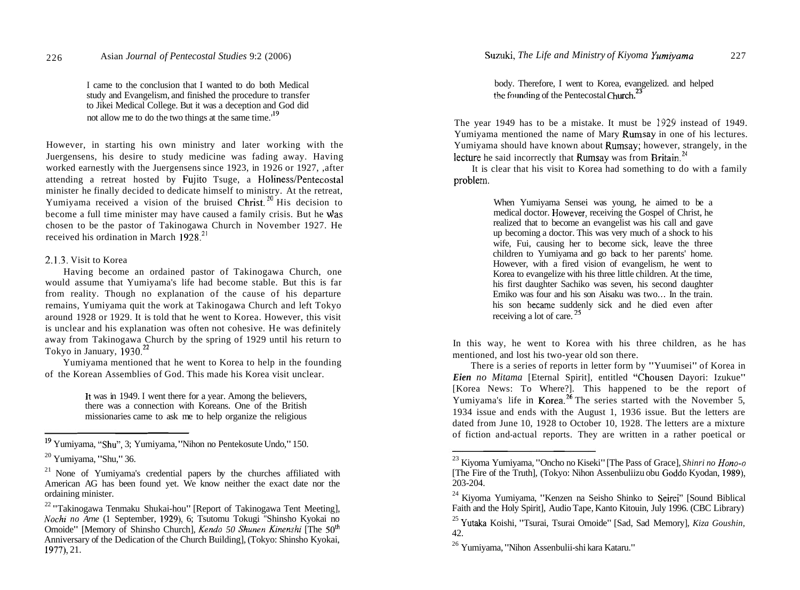I came to the conclusion that I wanted to do both Medical study and Evangelism, and finished the procedure to transfer to Jikei Medical College. But it was a deception and God did not allow me to do the two things at the same time.<sup>19</sup>

However, in starting his own ministry and later working with the Juergensens, his desire to study medicine was fading away. Having worked earnestly with the Juergensens since 1923, in 1926 or 1927, ,after attending a retreat hosted by Fujito Tsuge, a Holiness/Pentecostal minister he finally decided to dedicate himself to ministry. At the retreat, Yumiyama received a vision of the bruised Christ.<sup>20</sup> His decision to become a full time minister may have caused a family crisis. But he was chosen to be the pastor of Takinogawa Church in November 1927. He received his ordination in March  $1928.<sup>21</sup>$ 

### 2.1.3. Visit to Korea

Having become an ordained pastor of Takinogawa Church, one would assume that Yumiyama's life had become stable. But this is far from reality. Though no explanation of the cause of his departure remains, Yumiyama quit the work at Takinogawa Church and left Tokyo around 1928 or 1929. It is told that he went to Korea. However, this visit is unclear and his explanation was often not cohesive. He was definitely away from Takinogawa Church by the spring of 1929 until his return to Tokyo in January,  $1930.<sup>22</sup>$ 

Yumiyama mentioned that he went to Korea to help in the founding of the Korean Assemblies of God. This made his Korea visit unclear.

> It was in 1949. I went there for a year. Among the believers, there was a connection with Koreans. One of the British missionaries came to ask me to help organize the religious

body. Therefore, I went to Korea, evangelized. and helped the founding of the Pentecostal Church.<sup>23</sup>

The year 1949 has to be a mistake. It must be 1929 instead of 1949. Yumiyama mentioned the name of Mary Rumsay in one of his lectures. Yumiyama should have known about Rumsay; however, strangely, in the lecture he said incorrectly that Rumsay was from Britain.<sup>24</sup>

It is clear that his visit to Korea had something to do with a family problem.

> When Yumiyama Sensei was young, he aimed to be a medical doctor. However, receiving the Gospel of Christ, he realized that to become an evangelist was his call and gave up becoming a doctor. This was very much of a shock to his wife. Fui, causing her to become sick, leave the three children to Yumiyama and go back to her parents' home. However, with a fired vision of evangelism, he went to Korea to evangelize with his three little children. At the time, his first daughter Sachiko was seven, his second daughter Emiko was four and his son Aisaku was two... In the train. his son hecame suddenly sick and he died even after receiving a lot of care. **<sup>25</sup>**

In this way, he went to Korea with his three children, as he has mentioned, and lost his two-year old son there.

There is a series of reports in letter form by "Yuumisei" of Korea in *Eien no Mitama* [Eternal Spirit], entitled "Chousen Dayori: Izukue" [Korea News: To Where?]. This happened to be the report of Yumiyama's life in **Korea.**<sup>20</sup> The series started with the November 5, 1934 issue and ends with the August 1, 1936 issue. But the letters are dated from June 10, 1928 to October 10, 1928. The letters are a mixture of fiction and-actual reports. They are written in a rather poetical or

<sup>&</sup>lt;sup>19</sup> Yumiyama, "Shu", 3; Yumiyama, "Nihon no Pentekosute Undo," 150.

<sup>20</sup> Yumiyama, "Shu," 36.

 $21$  None of Yumiyama's credential papers by the churches affiliated with American AG has been found yet. We know neither the exact date nor the ordaining minister.

<sup>&</sup>lt;sup>22</sup> "Takinogawa Tenmaku Shukai-hou" [Report of Takinogawa Tent Meeting], *Nochi no Arne* (1 September, 1929), 6; Tsutomu Tokugi "Shinsho Kyokai no Omoide" [Memory of Shinsho Church], *Kendo 50 Shunen Kinenshi* [The 50<sup>th</sup>] Anniversary of the Dedication of the Church Building], (Tokyo: Shinsho Kyokai, 1977), 21.

<sup>23</sup> Kiyoma Yumiyama, "Oncho no Kiseki" [The Pass of Grace], *Shinri no Hono-n*  [The Fire of the Truth], (Tokyo: Nihon Assenbuliizu obu Goddo Kyodan, 1989), 203-204.

<sup>24</sup> Kiyoma Yumiyama, "Kenzen na Seisho Shinko to Seirei" [Sound Biblical Faith and the Holy Spirit], Audio Tape, Kanto Kitouin, July 1996. (CBC Library)

<sup>25</sup> Yutaka Koishi, "Tsurai, Tsurai Omoide" [Sad, Sad Memory], *Kiza Goushin,*  42.

<sup>26</sup> Yumiyama, "Nihon Assenbulii-shi kara Kataru."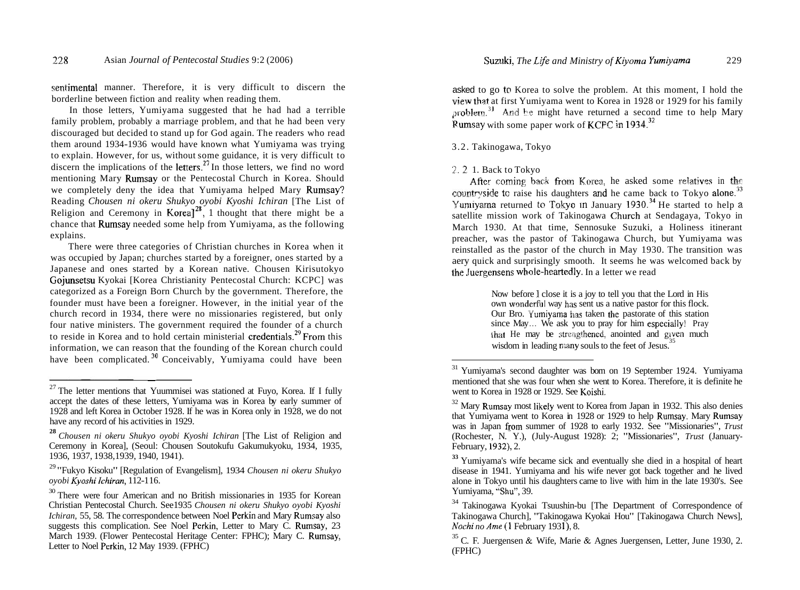sentimental manner. Therefore, it is very difficult to discern the borderline between fiction and reality when reading them.

In those letters, Yumiyama suggested that he had had a terrible family problem, probably a marriage problem, and that he had been very discouraged but decided to stand up for God again. The readers who read them around 1934-1936 would have known what Yumiyama was trying to explain. However, for us, without some guidance, it is very difficult to discern the implications of the letters.<sup>27</sup> In those letters, we find no word mentioning Mary Rumsay or the Pentecostal Church in Korea. Should we completely deny the idea that Yumiyama helped Mary Rumsay? Reading *Chousen ni okeru Shukyo oyobi Kyoshi Ichiran* [The List of Religion and Ceremony in Korea]<sup>28</sup>, 1 thought that there might be a chance that Rumsay needed some help from Yumiyama, as the following explains.

There were three categories of Christian churches in Korea when it was occupied by Japan; churches started by a foreigner, ones started by a Japanese and ones started by a Korean native. Chousen Kirisutokyo Gojunsetsu Kyokai [Korea Christianity Pentecostal Church: KCPC] was categorized as a Foreign Born Church by the government. Therefore, the founder must have been a foreigner. However, in the initial year of the church record in 1934, there were no missionaries registered, but only four native ministers. The government required the founder of a church to reside in Korea and to hold certain ministerial credentials.<sup>29</sup> From this information, we can reason that the founding of the Korean church could have been complicated.<sup>30</sup> Conceivably, Yumiyama could have been  $\frac{1}{\sqrt{1-\frac{1}{n}}}$ 

asked to go **to** Korea to solve the problem. At this moment, I hold the problem.<sup>31</sup> And he might have returned a second time to help Mary Rumsay with some paper work of KCPC in 1934.<sup>32</sup>

# 3.2. Takinogawa, Tokyo

# 7.2 1. Back to Tokyo

After coming back from Korea, he asked some relatives in the countryside to raise his daughters and he came back to Tokyo alone.<sup>33</sup> Yumiyama returned to Tokyo in January 1930.<sup>34</sup> He started to help a satellite mission work of Takinogawa Church at Sendagaya, Tokyo in March 1930. At that time, Sennosuke Suzuki, a Holiness itinerant preacher, was the pastor of Takinogawa Church, but Yumiyama was reinstalled as the pastor of the church in May 1930. The transition was aery quick and surprisingly smooth. It seems he was welcomed back by the Juergensens whole-heartedly. In a letter we read

> Now before I close it is a joy to tell you that the Lord in His own wonderful way has sent us a native pastor for this flock. Our Bro. Yvmiyama has taken the pastorate of this station since May ... We ask you to pray for him especially! Pray that He may be strengthened, anointed and given much wisdom in leading many souls to the feet of Jesus.<sup>35</sup>

 $27$  The letter mentions that Yuummisei was stationed at Fuyo, Korea. If I fully accept the dates of these letters, Yumiyama was in Korea by early summer of 1928 and left Korea in October 1928. If he was in Korea only in 1928, we do not have any record of his activities in 1929.

**<sup>28</sup>***Chousen ni okeru Shukyo oyobi Kyoshi Ichiran* [The List of Religion and Ceremony in Korea], (Seoul: Chousen Soutokufu Gakumukyoku, 1934, 1935, 1936, 1937, 1938,1939, 1940, 1941).

<sup>29 &</sup>quot;Fukyo Kisoku" [Regulation of Evangelism], 1934 *Chousen ni okeru Shukyo oyobi Kyoshilchiran,* 112-1 16.

<sup>&</sup>lt;sup>30</sup> There were four American and no British missionaries in 1935 for Korean Christian Pentecostal Church. See1935 *Chousen ni okeru Shukyo oyobi Kyoshi Ichiran,* 55, 58. The correspondence between Noel Perkin and Mary Rumsay also suggests this complication. See Noel Perkin, Letter to Mary C. Rumsay, 23 March 1939. (Flower Pentecostal Heritage Center: FPHC); Mary C. Rumsay, Letter to Noel Perkin, 12 May 1939. (FPHC)

<sup>31</sup> Yumiyama's second daughter was born on 19 September 1924. Yumiyama mentioned that she was four when she went to Korea. Therefore, it is definite he went to Korea in 1928 or 1929. See Koishi.

 $32$  Mary Rumsay most likely went to Korea from Japan in 1932. This also denies that Yumiyama went to Korea in 1928 or 1929 to help Rumsay. Mary Rumsay was in Japan from summer of 1928 to early 1932. See "Missionaries", *Trust*  (Rochester, N. Y.), (July-August 1928): 2; "Missionaries", *Trust* (January-February, 1932), 2.

**<sup>33</sup>**Yumiyama's wife became sick and eventually she died in a hospital of heart disease in 1941. Yumiyama and his wife never got back together and he lived alone in Tokyo until his daughters came to live with him in the late 1930's. See Yumiyama, "Shu", 39.

<sup>&</sup>lt;sup>34</sup> Takinogawa Kyokai Tsuushin-bu [The Department of Correspondence of Takinogawa Church], "Takinogawa Kyokai Hou" [Takinogawa Church News], Nochi no Ame (1 February 1931), 8.

<sup>&</sup>lt;sup>35</sup> C. F. Juergensen & Wife, Marie & Agnes Juergensen, Letter, June 1930, 2. (FPHC)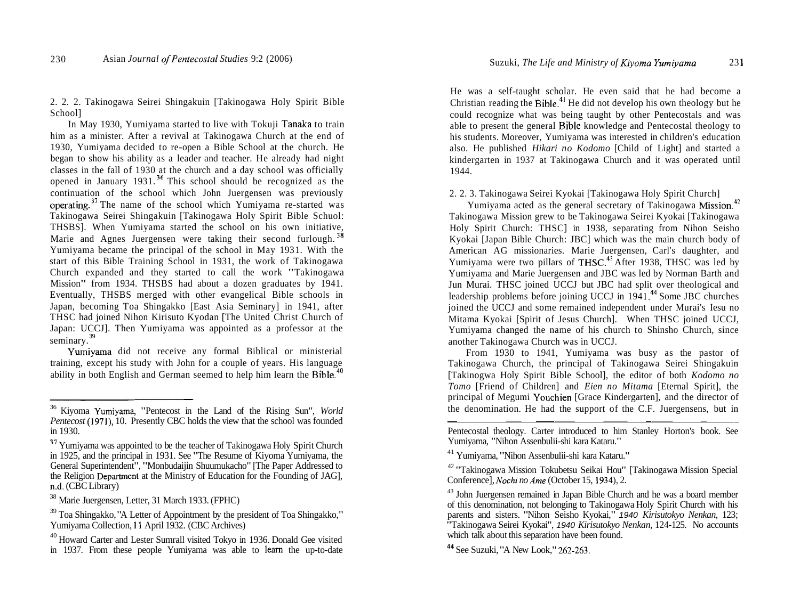2. 2. 2. Takinogawa Seirei Shingakuin [Takinogawa Holy Spirit Bible School]

In May 1930, Yumiyama started to live with Tokuji Tanaka to train him as a minister. After a revival at Takinogawa Church at the end of 1930, Yumiyama decided to re-open a Bible School at the church. He began to show his ability as a leader and teacher. He already had night classes in the fall of 1930 at the church and a day school was officially opened in January 1931.<sup>36</sup> This school should be recognized as the continuation of the school which John Juergensen was previously operating.37 The name of the school which Yumiyama re-started was Takinogawa Seirei Shingakuin [Takinogawa Holy Spirit Bible Schuol: THSBS]. When Yumiyama started the school on his own initiative, Marie and Agnes Juergensen were taking their second furlough.<sup>38</sup> Yumiyama became the principal of the school in May 1931. With the start of this Bible Training School in 1931, the work of Takinogawa Church expanded and they started to call the work "Takinogawa Mission" from 1934. THSBS had about a dozen graduates by 1941. Eventually, THSBS merged with other evangelical Bible schools in Japan, becoming Toa Shingakko [East Asia Seminary] in 1941, after THSC had joined Nihon Kirisuto Kyodan [The United Christ Church of Japan: UCCJ]. Then Yumiyama was appointed as a professor at the seminary.<sup>39</sup>

Yumiyama did not receive any formal Biblical or ministerial training, except his study with John for a couple of years. His language ability in both English and German seemed to help him learn the  $Bible<sup>4</sup>$ 

He was a self-taught scholar. He even said that he had become a Christian reading the  $Bible<sup>41</sup>$  He did not develop his own theology but he could recognize what was being taught by other Pentecostals and was able to present the general Rible knowledge and Pentecostal theology to his students. Moreover, Yumiyama was interested in children's education also. He published *Hikari no Kodomo* [Child of Light] and started a kindergarten in 1937 at Takinogawa Church and it was operated until 1944.

2. 2. 3. Takinogawa Seirei Kyokai [Takinogawa Holy Spirit Church]

Yumiyama acted as the general secretary of Takinogawa Mission.<sup>42</sup> Takinogawa Mission grew to be Takinogawa Seirei Kyokai [Takinogawa Holy Spirit Church: THSC] in 1938, separating from Nihon Seisho Kyokai [Japan Bible Church: JBC] which was the main church body of American AG missionaries. Marie Juergensen, Carl's daughter, and Yumiyama were two pillars of THSC.<sup>43</sup> After 1938, THSC was led by Yumiyama and Marie Juergensen and JBC was led by Norman Barth and Jun Murai. THSC joined UCCJ but JBC had split over theological and leadership problems before joining UCCJ in  $1941$ .<sup>44</sup> Some JBC churches joined the UCCJ and some remained independent under Murai's Iesu no Mitama Kyokai [Spirit of Jesus Church]. When THSC joined UCCJ, Yumiyama changed the name of his church to Shinsho Church, since another Takinogawa Church was in UCCJ.

From 1930 to 1941, Yumiyama was busy as the pastor of Takinogawa Church, the principal of Takinogawa Seirei Shingakuin Takinogawa Chileri, the principal of Takinogawa Scher Shingakuhi<br>
[Takinogwa Holy Spirit Bible School], the editor of both *Kodomo no*<br> *Tomo* [Friend of Children] and *Eien no Mitama* [Eternal Spirit], the<br>
principal of M *Tomo* [Friend of Children] and *Eien no Mitama* [Eternal Spirit], the principal of Megumi Youchien [Grace Kindergarten], and the director of the denomination. He had the support of the C.F. Juergensens, but in

Pentecostal theology. Carter introduced to him Stanley Horton's book. See

<sup>41</sup> Yumiyama, "Nihon Assenbulii-shi kara Kataru."

<sup>&</sup>lt;sup>36</sup> Kivoma Yumiyama, "Pentecost in the Land of the Rising Sun", *World Pentecost* (1971), 10. Presently CBC holds the view that the school was founded in 1930.

**<sup>37</sup>**Yumiyama was appointed to be the teacher of Takinogawa Holy Spirit Church in 1925, and the principal in 1931. See "The Resume of Kiyoma Yumiyama, the General Superintendent", "Monbudaijin Shuumukacho" [The Paper Addressed to the Religion Department at the Ministry of Education for the Founding of JAG], n.d. (CBC Library)

<sup>38</sup> Marie Juergensen, Letter, 31 March 1933. (FPHC)

 $39$  Toa Shingakko, "A Letter of Appointment by the president of Toa Shingakko,"<br>Yumiyama Collection, 11 April 1932. (CBC Archives)

 $40$  Howard Carter and Lester Sumrall visited Tokyo in 1936. Donald Gee visited in 1937. From these people Yumiyama was able to learn the up-to-date

<sup>&</sup>lt;sup>42</sup> "Takinogawa Mission Tokubetsu Seikai Hou" [Takinogawa Mission Special Conference]. *Nochi no Ame* (October 15, 1934), 2.

<sup>&</sup>lt;sup>43</sup> John Juergensen remained in Japan Bible Church and he was a board member of this denomination, not belonging to Takinogawa Holy Spirit Church with his parents and sisters. "Nihon Seisho Kyokai," 1940 *Kirisutokyo Nenkan,* 123; "Takinogawa Seirei Kyokai", 1940 *Kirisutokyo Nenkan,* 124- 125. No accounts which talk about this separation have been found.

<sup>44</sup> See Suzuki, "A New Look," 262-263.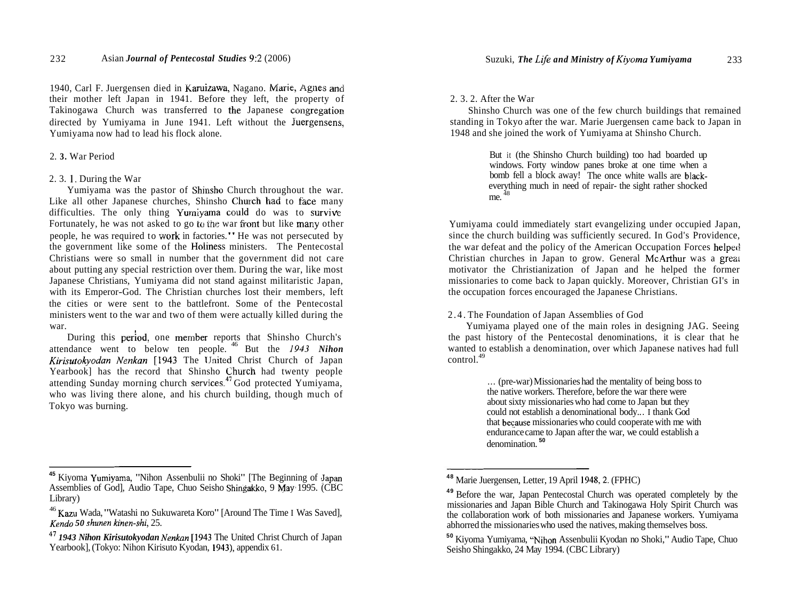1940, Carl F. Juergensen died in Karuizawa, Nagano. Marie, Agnes and their mother left Japan in 1941. Before they left, the property of Takinogawa Church was transferred to the Japanese congregation directed by Yumiyama in June 1941. Left without the Yuergensens, Yumiyama now had to lead his flock alone.

### 2. **3.** War Period

#### 2. 3. 1. During the War

Yumiyama was the pastor of Shinsho Church throughout the war. Like all other Japanese churches, Shinsho Church had to face many difficulties. The only thing Yumiyama could do was to survive Fortunately, he was not asked to go to the war front but like many other people, he was required to work in factories." He was not persecuted by the government like some of the Holiness ministers. The Pentecostal Christians were so small in number that the government did not care about putting any special restriction over them. During the war, like most Japanese Christians, Yumiyama did not stand against militaristic Japan, with its Emperor-God. The Christian churches lost their members, left the cities or were sent to the battlefront. Some of the Pentecostal ministers went to the war and two of them were actually killed during the

war.<br>During this period, one member reports that Shinsho Church's attendance went to below ten people. <sup>46</sup> But the *1943 Nihon Kirisutokyodan Nenkan* [1943 The United Christ Church of Japan Yearbook] has the record that Shinsho Church had twenty people attending Sunday morning church services.47 God protected Yumiyama, who was living there alone, and his church building, though much of Tokyo was burning.

#### 2. 3. 2. After the War

Shinsho Church was one of the few church buildings that remained standing in Tokyo after the war. Marie Juergensen came back to Japan in 1948 and she joined the work of Yumiyama at Shinsho Church.

> But it (the Shinsho Church building) too had boarded up windows. Forty window panes broke at one time when a bomb fell a block away! The once white walls are blackeverything much in need of repair- the sight rather shocked me.<sup>48</sup>

Yumiyama could immediately start evangelizing under occupied Japan, since the church building was sufficiently secured. In God's Providence, the war defeat and the policy of the American Occupation Forces helped Christian churches in Japan to grow. General McArthur was a greak motivator the Christianization of Japan and he helped the former missionaries to come back to Japan quickly. Moreover, Christian GI's in the occupation forces encouraged the Japanese Christians.

#### 2.4. The Foundation of Japan Assemblies of God

Yumiyama played one of the main roles in designing JAG. Seeing the past history of the Pentecostal denominations, it is clear that he wanted to establish a denomination, over which Japanese natives had full control.<sup>49</sup>

> . . . (pre-war) Missionaries had the mentality of being boss to the native workers. Therefore, before the war there were about sixty missionaries who had come to Japan but they could not establish a denominational body.. . I thank God that because missionaries who could cooperate with me with endurance came to Japan after the war, we could establish a denomination.<sup>50</sup>

<sup>&</sup>lt;sup>45</sup> Kiyoma Yumiyama, "Nihon Assenbulii no Shoki" [The Beginning of Japan Assemblies of God], Audio Tape, Chuo Seisho Shingakko, 9 May 1995. (CBC) Library)

<sup>46</sup> Kazu Wada, "Watashi no Sukuwareta Koro" [Around The Time I Was Saved], *Kendo 50 shunen kinen-shi,* 25.

<sup>47</sup>*1943 Nihon Kirisutokyodan Nenkan* [I943 The United Christ Church of Japan Yearbook], (Tokyo: Nihon Kirisuto Kyodan, 1943), appendix 61.

**<sup>48</sup>**Marie Juergensen, Letter, 19 April 1948,2. (FPHC)

<sup>&</sup>lt;sup>49</sup> Before the war, Japan Pentecostal Church was operated completely by the missionaries and Japan Bible Church and Takinogawa Holy Spirit Church was the collaboration work of both missionaries and Japanese workers. Yumiyama abhorred the missionaries who used the natives, making themselves boss.

**<sup>50</sup>**Kiyoma Yumiyama, "Nihon Assenbulii Kyodan no Shoki," Audio Tape, Chuo Seisho Shingakko, 24 May 1994. (CBC Library)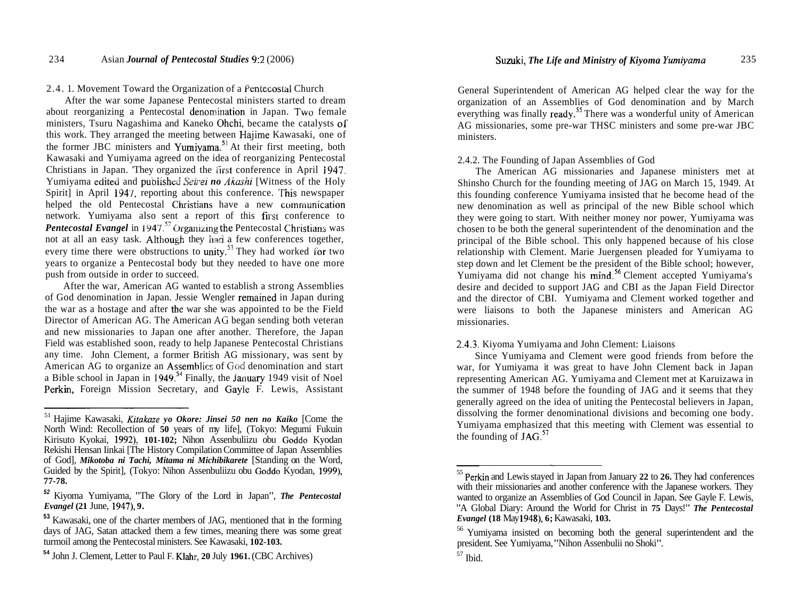### 2.4. 1. Movement Toward the Organization of a Pentecostal Church

After the war some Japanese Pentecostal ministers started to dream about reorganizing a Pentecostal denomination in Japan. Two female ministers, Tsuru Nagashima and Kaneko Ohchi, became the catalysts of this work. They arranged the meeting between Hajime Kawasaki, one of the former JBC ministers and Yumiyama.<sup>51</sup> At their first meeting, both Kawasaki and Yumiyama agreed on the idea of reorganizing Pentecostal Christians in Japan. 'They organized the First conference in April 1947. Yumiyama edited and published *Seirei no Akashi* [Witness of the Holy Spirit] in April 1947, reporting about this conference. This newspaper helped the old Pentecostal Christians have a new communication network. Yumiyama also sent a report of this firsr conference to *Pentecostal Evangel* in 1947.<sup>52</sup> Organizing the Pentecostal Christians was not at all an easy task. Although they had a few conferences together, every time there were obstructions to unity.<sup>53</sup> They had worked for two years to organize a Pentecostal body but they needed to have one more push from outside in order to succeed.

After the war, American AG wanted to establish a strong Assemblies of God denomination in Japan. Jessie Wengler remained in Japan during the war as a hostage and after thc war she was appointed to be the Field Director of American AG. The American **AG** began sending both veteran and new missionaries to Japan one after another. Therefore, the Japan Field was established soon, ready to help Japanese Pentecostal Christians any time. John Clement, a former British AG missionary, was sent by American AG to organize an Assemblies of God denomination and start a Bible school in Japan in  $1949.^{54}$  Finally, the January 1949 visit of Noel Perkin, Foreign Mission Secretary, and Gayle F. Lewis, Assistant

General Superintendent of American AG helped clear the way for the organization of an Assemblies of God denomination and by March everything was finally ready.<sup>55</sup> There was a wonderful unity of American AG missionaries, some pre-war THSC ministers and some pre-war JBC ministers.

# 2.4.2. The Founding of Japan Assemblies of God

The American AG missionaries and Japanese ministers met at Shinsho Church for the founding meeting of JAG on March 15, 1949. At this founding conference Yumiyama insisted that he become head of the new denomination as well as principal of the new Bible school which they were going to start. With neither money nor power, Yumiyama was chosen to be both the general superintendent of the denomination and the principal of the Bible school. This only happened because of his close relationship with Clement. Marie Juergensen pleaded for Yumiyama to step down and let Clement be the president of the Bible school; however, Yumiyama did not change his mind.<sup>56</sup> Clement accepted Yumiyama's desire and decided to support JAG and CBI as the Japan Field Director and the director of CBI. Yumiyama and Clement worked together and were liaisons to both the Japanese ministers and American AG missionaries.

# 2.4.3. Kiyoma Yumiyama and John Clement: Liaisons

Since Yumiyama and Clement were good friends from before the war, for Yumiyama it was great to have John Clement back in Japan representing American AG. Yumiyama and Clement met at Karuizawa in the summer of 1948 before the founding of JAG and it seems that they generally agreed on the idea of uniting the Pentecostal believers in Japan, dissolving the former denominational divisions and becoming one body. Yumiyama emphasized that this meeting with Clement was essential to the founding of  $JAG$ .<sup>57</sup>

<sup>51</sup> Hajime Kawasaki, *Kitakaze yo Okore: Jinsei 50 nen no Kaiko* [Come the North Wind: Recollection of **50** years of my life], (Tokyo: Megumi Fukuin Kirisuto Kyokai, **1992), 101-102;** Nihon Assenbuliizu obu Goddo Kyodan Rekishi Hensan Iinkai [The History Compilation Committee of Japan Assemblies of God], *Mikotoba ni Tachi, Mitama ni Michibikarete* [Standing on the Word, Guided by the Spirit], (Tokyo: Nihon Assenbuliizu obu Goddo Kyodan, **1999), 77-78.** 

**<sup>52</sup>**Kiyoma Yumiyama, "The Glory of the Lord in Japan", *The Pentecostal Evangel* **(21** June, **1947), 9.** 

**<sup>53</sup>**Kawasaki, one of the charter members of JAG, mentioned that in the forming days of JAG, Satan attacked them a few times, meaning there was some great turmoil among the Pentecostal ministers. See Kawasaki, **102-103.** 

**<sup>54</sup>**John J. Clement, Letter to Paul F. Klahr, **20** July **1961.** (CBC Archives)

<sup>55</sup> Perkin and Lewis stayed in Japan from January **22** to **26.** They had conferences with their missionaries and another conference with the Japanese workers. They wanted to organize an Assemblies of God Council in Japan. See Gayle F. Lewis, "A Global Diary: Around the World for Christ in **75** Days!" *The Pentecostal Evangel* **(18** May **1948), 6;** Kawasaki, **103.** 

<sup>&</sup>lt;sup>56</sup> Yumiyama insisted on becoming both the general superintendent and the president. See Yumiyama, "Nihon Assenbulii no Shoki".<br>
<sup>57</sup> Ibid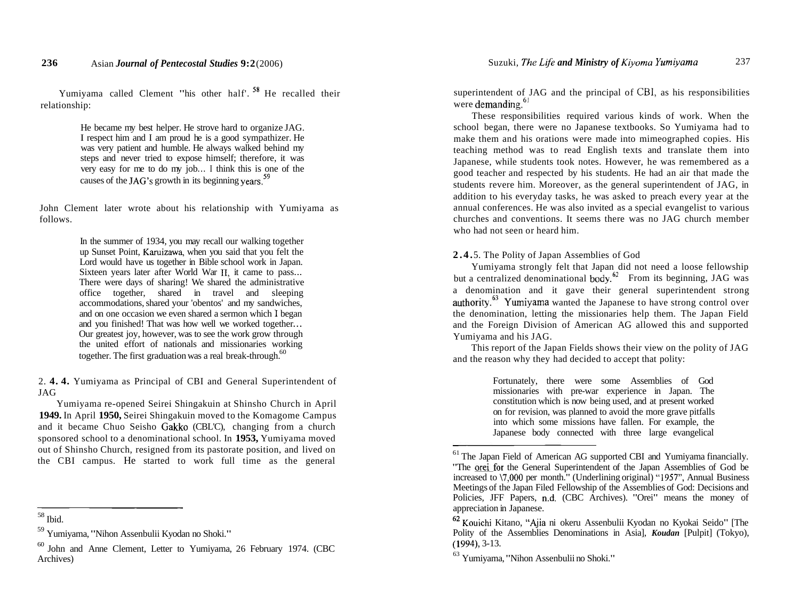Yumiyama called Clement "his other half'. **58** He recalled their relationship:

> He became my best helper. He strove hard to organize JAG. I respect him and I am proud he is a good sympathizer. He was very patient and humble. He always walked behind my steps and never tried to expose himself; therefore, it was very easy for me to do my job... I think this is one of the causes of the JAG's growth in its beginning years.<sup>59</sup>

John Clement later wrote about his relationship with Yumiyama as follows.

> In the summer of 1934, you may recall our walking together up Sunset Point, Karuizawa, when you said that you felt the Lord would have us together in Bible school work in Japan. Sixteen years later after World War II, it came to pass... There were days of sharing! We shared the administrative office together, shared in travel and sleeping accommodations, shared your 'obentos' and my sandwiches, and on one occasion we even shared a sermon which I began and you finished! That was how well we worked together... Our greatest joy, however, was to see the work grow through the united effort of nationals and missionaries working together. The first graduation was a real break-through.  $60$

2. **4. 4.** Yumiyama as Principal of CBI and General Superintendent of JAG

Yumiyama re-opened Seirei Shingakuin at Shinsho Church in April **1949.** In April **1950,** Seirei Shingakuin moved to the Komagome Campus and it became Chuo Seisho Gakko (CBL'C), changing from a church sponsored school to a denominational school. In **1953,** Yumiyama moved out of Shinsho Church, resigned from its pastorate position, and lived on the CBI campus. He started to work full time as the general

superintendent of JAG and the principal of CBI, as his responsibilities were demanding. $6!$ 

These responsibilities required various kinds of work. When the school began, there were no Japanese textbooks. So Yumiyama had to make them and his orations were made into mimeographed copies. His teaching method was to read English texts and translate them into Japanese, while students took notes. However, he was remembered as a good teacher and respected by his students. He had an air that made the students revere him. Moreover, as the general superintendent of JAG, in addition to his everyday tasks, he was asked to preach every year at the annual conferences. He was also invited as a special evangelist to various churches and conventions. It seems there was no JAG church member who had not seen or heard him.

# **2.4.** 5. The Polity of Japan Assemblies of God

Yumiyama strongly felt that Japan did not need a loose fellowship but a centralized denominational body.<sup>82</sup> From its beginning, JAG was a denomination and it gave their general superintendent strong authority. $^{63}$  Yumiyama wanted the Japanese to have strong control over the denomination, letting the missionaries help them. The Japan Field and the Foreign Division of American AG allowed this and supported Yumiyama and his JAG.

This report of the Japan Fields shows their view on the polity of JAG and the reason why they had decided to accept that polity:

> Fortunately, there were some Assemblies of God missionaries with pre-war experience in Japan. The constitution which is now being used, and at present worked on for revision, was planned to avoid the more grave pitfalls into which some missions have fallen. For example, the Japanese body connected with three large evangelical

<sup>58</sup> Ibid.

 $59$  Yumiyama, "Nihon Assenbulii Kyodan no Shoki."<br> $60$  John and Anne Clement, Letter to Yumiyama, 26 February 1974. (CBC Archives)

 $<sup>61</sup>$  The Japan Field of American AG supported CBI and Yumiyama financially.</sup> "The orei for the General Superintendent of the Japan Assemblies of God be increased to \7,000 per month." (Underlining original) "1957", Annual Business Meetings of the Japan Filed Fellowship of the Assemblies of God: Decisions and Policies, JFF Papers, n.d. (CBC Archives). "Orei" means the money of appreciation in Japanese.

<sup>62</sup> Kouichi Kitano, "Ajia ni okeru Assenbulii Kyodan no Kyokai Seido" [The Polity of the Assemblies Denominations in Asia], *Koudan* [Pulpit] (Tokyo), (1994), 3-13.<br> $63$  Yumiyama, "Nihon Assenbulii no Shoki."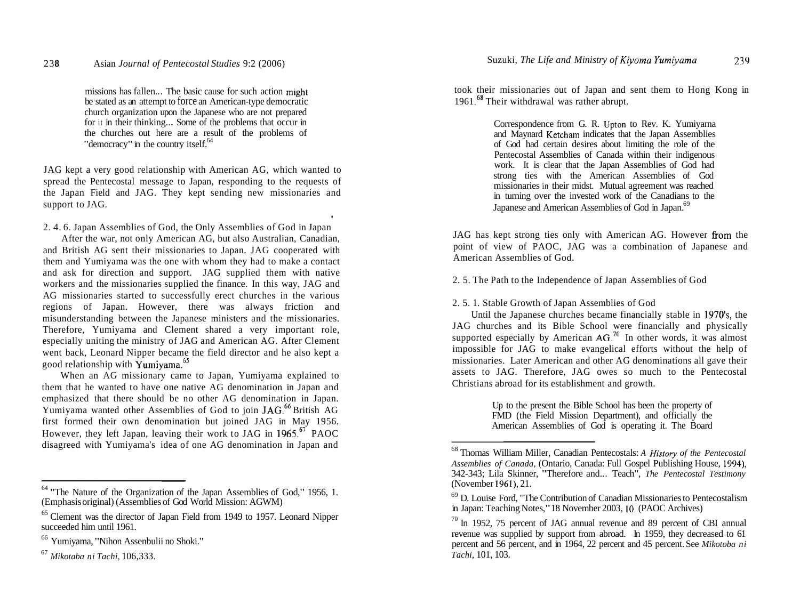missions has fallen... The basic cause for such action might be stated as an attempt to force an American-type democratic church organization upon the Japanese who are not prepared for it in their thinking... Some of the problems that occur in the churches out here are a result of the problems of "democracy" in the country itself.<sup>64</sup>

JAG kept a very good relationship with American AG, which wanted to spread the Pentecostal message to Japan, responding to the requests of the Japan Field and JAG. They kept sending new missionaries and support to JAG.

ä,

2. 4. 6. Japan Assemblies of God, the Only Assemblies of God in Japan

After the war, not only American AG, but also Australian, Canadian, and British AG sent their missionaries to Japan. JAG cooperated with them and Yumiyama was the one with whom they had to make a contact and ask for direction and support. JAG supplied them with native workers and the missionaries supplied the finance. In this way, JAG and AG missionaries started to successfully erect churches in the various regions of Japan. However, there was always friction and misunderstanding between the Japanese ministers and the missionaries. Therefore, Yumiyama and Clement shared a very important role, especially uniting the ministry of JAG and American AG. After Clement went back, Leonard Nipper became the field director and he also kept a good relationship with Yumiyama.<sup>65</sup>

When an AG missionary came to Japan, Yumiyama explained to them that he wanted to have one native AG denomination in Japan and emphasized that there should be no other AG denomination in Japan. Yumiyama wanted other Assemblies of God to join JAG.<sup>66</sup> British AG first formed their own denomination but joined JAG in May 1956. However, they left Japan, leaving their work to JAG in  $1965$ .<sup> $67$ </sup> PAOC disagreed with Yumiyama's idea of one AG denomination in Japan and

took their missionaries out of Japan and sent them to Hong Kong in 1961.<sup>68</sup> Their withdrawal was rather abrupt.

> Correspondence from G. R. Upton to Rev. K. Yumiyarna and Maynard Ketcham indicates that the Japan Assemblies of God had certain desires about limiting the role of the Pentecostal Assemblies of Canada within their indigenous work. It is clear that the Japan Assemblies of God had strong ties with the American Assemblies of God missionaries in their midst. Mutual agreement was reached in turning over the invested work of the Canadians to the Japanese and American Assemblies of God in Japan.<sup>69</sup>

JAG has kept strong ties only with American AG. However from the point of view of PAOC, JAG was a combination of Japanese and American Assemblies of God.

2. 5. The Path to the Independence of Japan Assemblies of God

## 2. 5. 1. Stable Growth of Japan Assemblies of God

Until the Japanese churches became financially stable in  $1970$ 's, the JAG churches and its Bible School were financially and physically supported especially by American  $AG<sup>70</sup>$  In other words, it was almost impossible for JAG to make evangelical efforts without the help of missionaries. Later American and other AG denominations all gave their assets to JAG. Therefore, JAG owes so much to the Pentecostal Christians abroad for its establishment and growth.

> Up to the present the Bible School has been the property of FMD (the Field Mission Department), and officially the American Assemblies of God is operating it. The Board

<sup>64 &</sup>quot;The Nature of the Organization of the Japan Assemblies of God," 1956, 1. (Emphasis original) (Assemblies of God World Mission: AGWM)

 $<sup>65</sup>$  Clement was the director of Japan Field from 1949 to 1957. Leonard Nipper succeeded him until 1961.</sup>

<sup>&</sup>lt;sup>66</sup> Yumiyama, "Nihon Assenbulii no Shoki."<br><sup>67</sup> Mikotaba ni Tachi, 106,333.

<sup>68</sup> Thomas William Miller, Canadian Pentecostals: *A Histov of the Pentecostal Assemblies of Canada,* (Ontario, Canada: Full Gospel Publishing House, 1994), 342-343; Lila Skinner, "Therefore and.. . Teach", *The Pentecostal Testimony*  (November 1961), 21.

 $^{69}$  D. Louise Ford, "The Contribution of Canadian Missionaries to Pentecostalism in Japan: Teaching Notes," 18 November 2003, 10. (PAOC Archives)

 $10$ <sup>0</sup> In 1952, 75 percent of JAG annual revenue and 89 percent of CBI annual revenue was supplied by support from abroad. In 1959, they decreased to 61 percent and 56 percent, and in 1964, 22 percent and 45 percent. See *Mikotoba ni Tachi,* 101, 103.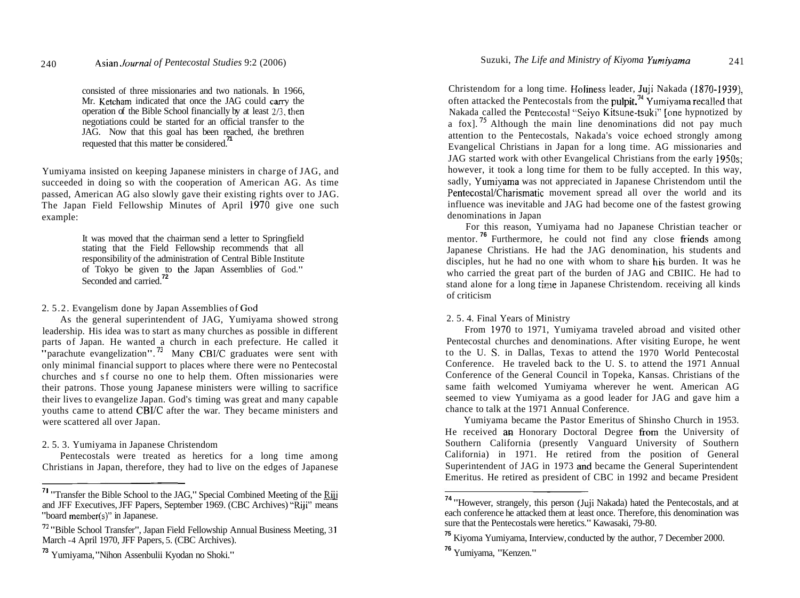consisted of three missionaries and two nationals. In 1966, Mr. Ketcham indicated that once the JAG could cany the operation of the Bible School financially by at least 213, then negotiations could be started for an official transfer to the JAG. Now that this goal has been reached, the brethren requested that this matter be considered.<sup>71</sup>

Yumiyama insisted on keeping Japanese ministers in charge of JAG, and succeeded in doing so with the cooperation of American AG. As time passed, American AG also slowly gave their existing rights over to JAG. The Japan Field Fellowship Minutes of April 1970 give one such example:

> It was moved that the chairman send a letter to Springfield stating that the Field Fellowship recommends that all responsibility of the administration of Central Bible Institute of Tokyo be given to the Japan Assemblies of God."<br>Seconded and carried.<sup>72</sup>

# 2. 5.2. Evangelism done by Japan Assemblies of God

As the general superintendent of JAG, Yumiyama showed strong leadership. His idea was to start as many churches as possible in different parts of Japan. He wanted a church in each prefecture. He called it "parachute evangelization".<sup>73</sup> Many CBI/C graduates were sent with only minimal financial support to places where there were no Pentecostal churches and sf course no one to help them. Often missionaries were their patrons. Those young Japanese ministers were willing to sacrifice their lives to evangelize Japan. God's timing was great and many capable youths came to attend CBI/C after the war. They became ministers and were scattered all over Japan.

# 2. 5. 3. Yumiyama in Japanese Christendom

Pentecostals were treated as heretics for a long time among Christians in Japan, therefore, they had to live on the edges of Japanese

Christendom for a long time. Holiness leader, Juji Nakada (1870-1939), often attacked the Pentecostals from the pulpit.<sup>74</sup> Yumiyama recalled that Nakada called the Pentecostal "Seiyo Kitsune-tsuki" [one hypnotized by a fox]. **75** Although the main line denominations did not pay much attention to the Pentecostals, Nakada's voice echoed strongly among Evangelical Christians in Japan for a long time. AG missionaries and JAG started work with other Evangelical Christians from the early 1950s; however, it took a long time for them to be fully accepted. In this way, sadly, Yumiyama was not appreciated in Japanese Christendom until the Pentecostal/Charismatic movement spread all over the world and its influence was inevitable and JAG had become one of the fastest growing denominations in Japan

For this reason, Yumiyama had no Japanese Christian teacher or mentor.<sup>76</sup> Furthermore, he could not find any close friends among Japanese Christians. He had the JAG denomination, his students and disciples, hut he had no one with whom to share his burden. It was he who carried the great part of the burden of JAG and CBIIC. He had to stand alone for a long tinre in Japanese Christendom. receiving all kinds of criticism

# 2. 5. 4. Final Years of Ministry

From 1970 to 1971, Yumiyama traveled abroad and visited other Pentecostal churches and denominations. After visiting Europe, he went to the U. S. in Dallas, Texas to attend the 1970 World Pentecostal Conference. He traveled back to the U. S. to attend the 1971 Annual Conference of the General Council in Topeka, Kansas. Christians of the same faith welcomed Yumiyama wherever he went. American AG seemed to view Yumiyama as a good leader for JAG and gave him a chance to talk at the 1971 Annual Conference.

Yumiyama became the Pastor Emeritus of Shinsho Church in 1953. He received an Honorary Doctoral Degree from the University of Southern California (presently Vanguard University of Southern California) in 1971. He retired from the position of General Superintendent of JAG in 1973 and became the General Superintendent Emeritus. He retired as president of CBC in 1992 and became President

**<sup>7</sup>1** "Transfer the Bible School to the JAG," Special Combined Meeting of the Riii and JFF Executives, JFF Papers, September 1969. (CBC Archives) "Riji" means "board member(s)" in Japanese.

**<sup>72</sup>**"Bible School Transfer", Japan Field Fellowship Annual Business Meeting, 3 **<sup>1</sup>** March -4 April 1970, JFF Papers, 5. (CBC Archives).

**<sup>73</sup>**Yumiyama, "Nihon Assenbulii Kyodan no Shoki."

**<sup>74</sup>**"However, strangely, this person (Juji Nakada) hated the Pentecostals, and at each conference he attacked them at least once. Therefore, this denomination was sure that the Pentecostals were heretics." Kawasaki, 79-80.

**<sup>75</sup>**Kiyoma Yumiyama, Interview, conducted by the author, 7 December 2000.

**<sup>76</sup>** Yumiyama, "Kenzen."